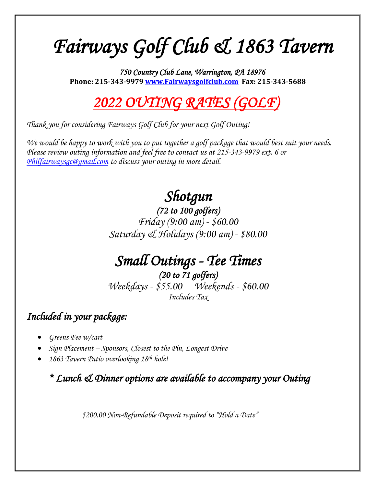# *Fairways Golf Club & 1863 Tavern*

*750 Country Club Lane, Warrington, PA 18976*  **Phone: 215-343-9979 [www.Fairwaysgolfclub.com](http://www.fairwaysgolfclub.com/) Fax: 215-343-5688**

## *2022 OUTING RATES (GOLF)*

*Thank you for considering Fairways Golf Club for your next Golf Outing!* 

*We would be happy to work with you to put together a golf package that would best suit your needs. Please review outing information and feel free to contact us at 215-343-9979 ext. 6 or [Philfairwaysgc@gmail.com](mailto:Philfairwaysgc@gmail.com) to discuss your outing in more detail.*

# *Shotgun*

*(72 to 100 golfers) Friday (9:00 am) - \$60.00 Saturday & Holidays (9:00 am) - \$80.00*

## *Small Outings - Tee Times*

*(20 to 71 golfers) Weekdays - \$55.00 Weekends - \$60.00 Includes Tax*

## *Included in your package:*

- *Greens Fee w/cart*
- *Sign Placement – Sponsors, Closest to the Pin, Longest Drive*
- *1863 Tavern Patio overlooking 18th hole!*

*\* Lunch & Dinner options are available to accompany your Outing* 

*\$200.00 Non-Refundable Deposit required to "Hold a Date"*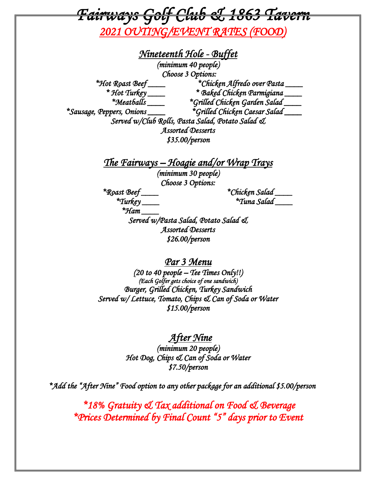*Fairways Golf Club & 1863 Tavern* 

*2021 OUTING/EVENT RATES (FOOD)* 

*Nineteenth Hole - Buffet (minimum 40 people) Choose 3 Options: \*Hot Roast Beef \_\_\_\_ \*Chicken Alfredo over Pasta \_\_\_\_ \* Hot Turkey \_\_\_\_ \* Baked Chicken Parmigiana \_\_\_\_ \*Meatballs \_\_\_\_ \*Grilled Chicken Garden Salad \_\_\_\_ \*Sausage, Peppers, Onions \_\_\_\_ \*Grilled Chicken Caesar Salad \_\_\_\_ Served w/Club Rolls, Pasta Salad, Potato Salad & Assorted Desserts \$35.00/person The Fairways – Hoagie and/or Wrap Trays (minimum 30 people) Choose 3 Options: \*Roast Beef \_\_\_\_ \*Chicken Salad \_\_\_\_ \*Turkey \_\_\_\_ \*Tuna Salad \_\_\_\_ \*Ham \_\_\_\_ Served w/Pasta Salad, Potato Salad &* 

*Assorted Desserts \$26.00/person* 

*Par 3 Menu* 

*(20 to 40 people – Tee Times Only!!) (Each Golfer gets choice of one sandwich) Burger, Grilled Chicken, Turkey Sandwich Served w/ Lettuce, Tomato, Chips & Can of Soda or Water \$15.00/person* 

 *After Nine* 

*(minimum 20 people) Hot Dog, Chips & Can of Soda or Water \$7.50/person* 

*\*Add the "After Nine" Food option to any other package for an additional \$5.00/person* 

 *\*18% Gratuity & Tax additional on Food & Beverage \*Prices Determined by Final Count "5" days prior to Event*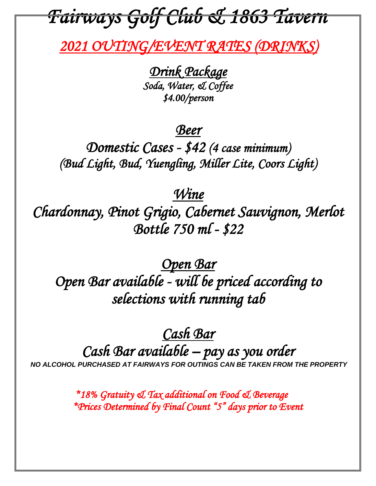# *Fairways Golf Club & 1863 Tavern*

 *2021 OUTING/EVENT RATES (DRINKS)* 

*Drink Package Soda, Water, & Coffee \$4.00/person* 

## *Beer*

*Domestic Cases - \$42 (4 case minimum) (Bud Light, Bud, Yuengling, Miller Lite, Coors Light)* 

## *Wine*

*Chardonnay, Pinot Grigio, Cabernet Sauvignon, Merlot Bottle 750 ml - \$22* 

*Open Bar Open Bar available - will be priced according to selections with running tab* 

## *Cash Bar Cash Bar available – pay as you order NO ALCOHOL PURCHASED AT FAIRWAYS FOR OUTINGS CAN BE TAKEN FROM THE PROPERTY*

 *\*18% Gratuity & Tax additional on Food & Beverage \*Prices Determined by Final Count "5" days prior to Event*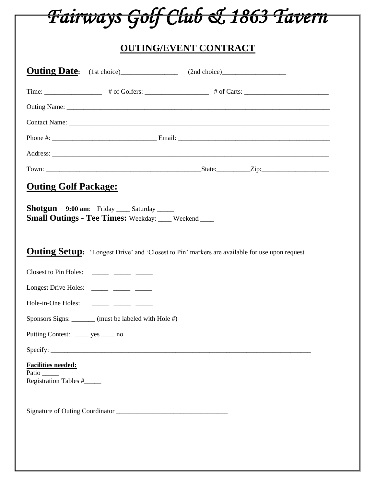

## **OUTING/EVENT CONTRACT**

|                                                             |                                                                                                                       | <b>Outing Date:</b> (1st choice) (2nd choice)                                                            |
|-------------------------------------------------------------|-----------------------------------------------------------------------------------------------------------------------|----------------------------------------------------------------------------------------------------------|
|                                                             |                                                                                                                       | Time: $\frac{4}{100}$ # of Golfers: $\frac{4}{100}$ # of Carts: $\frac{4}{100}$ & Carts: $\frac{4}{100}$ |
|                                                             |                                                                                                                       |                                                                                                          |
|                                                             |                                                                                                                       |                                                                                                          |
|                                                             |                                                                                                                       |                                                                                                          |
|                                                             |                                                                                                                       |                                                                                                          |
|                                                             |                                                                                                                       |                                                                                                          |
| <b>Outing Golf Package:</b>                                 |                                                                                                                       |                                                                                                          |
|                                                             | $\text{Shotgun} - 9:00$ am: Friday _____ Saturday _____<br><b>Small Outings - Tee Times: Weekday:</b> ___ Weekend ___ |                                                                                                          |
|                                                             |                                                                                                                       | <b>Outing Setup:</b> 'Longest Drive' and 'Closest to Pin' markers are available for use upon request     |
|                                                             | Closest to Pin Holes: ______ _____ ____                                                                               |                                                                                                          |
|                                                             | Longest Drive Holes: ______ _____ _____                                                                               |                                                                                                          |
|                                                             | Hole-in-One Holes: ________ ______ _____                                                                              |                                                                                                          |
|                                                             | Sponsors Signs: ______ (must be labeled with Hole #)                                                                  |                                                                                                          |
| Putting Contest: _______ yes ______ no                      |                                                                                                                       |                                                                                                          |
|                                                             |                                                                                                                       |                                                                                                          |
| <b>Facilities needed:</b><br>Patio<br>Registration Tables # |                                                                                                                       |                                                                                                          |
|                                                             |                                                                                                                       |                                                                                                          |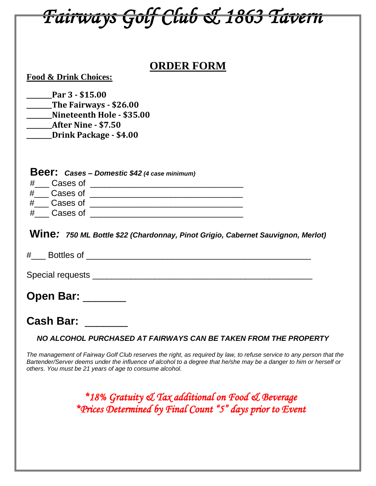| <del>Tairways Golf Club &amp; 1863 Tavern</del>                                                                                                                                                                                                                                                       |
|-------------------------------------------------------------------------------------------------------------------------------------------------------------------------------------------------------------------------------------------------------------------------------------------------------|
|                                                                                                                                                                                                                                                                                                       |
| <b>ORDER FORM</b><br><b>Food &amp; Drink Choices:</b><br>Par 3 - \$15.00<br>______The Fairways - \$26.00<br>Nineteenth Hole - \$35.00<br><b>______After Nine - \$7.50</b><br><b>______Drink Package - \$4.00</b>                                                                                      |
| <b>Beer:</b> Cases - Domestic \$42 (4 case minimum)<br>Wine: 750 ML Bottle \$22 (Chardonnay, Pinot Grigio, Cabernet Sauvignon, Merlot)                                                                                                                                                                |
| # Bottles of the state of the state of the state of the state of the state of the state of the state of the state of the state of the state of the state of the state of the state of the state of the state of the state of t                                                                        |
| Special requests                                                                                                                                                                                                                                                                                      |
| Open Bar: _______                                                                                                                                                                                                                                                                                     |
| <b>Cash Bar:</b><br>NO ALCOHOL PURCHASED AT FAIRWAYS CAN BE TAKEN FROM THE PROPERTY                                                                                                                                                                                                                   |
| The management of Fairway Golf Club reserves the right, as required by law, to refuse service to any person that the<br>Bartender/Server deems under the influence of alcohol to a degree that he/she may be a danger to him or herself or<br>others. You must be 21 years of age to consume alcohol. |
| *18% Gratuity & Tax additional on Food & Beverage<br>*Prices Determined by Final Count "5" days prior to Event                                                                                                                                                                                        |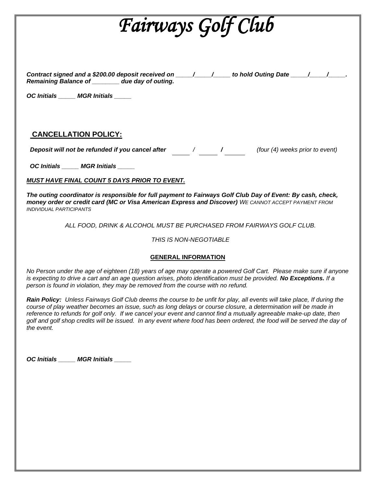# *Fairways Golf Club*

*Contract signed and a \$200.00 deposit received on \_\_\_\_\_/\_\_\_\_\_/\_\_\_\_\_ to hold Outing Date \_\_\_\_\_/\_\_\_\_\_/\_\_\_\_\_. Remaining Balance of \_\_\_\_\_\_\_\_ due day of outing.*

*OC Initials \_\_\_\_\_ MGR Initials \_\_\_\_\_*

### **CANCELLATION POLICY:**

*Deposit will not be refunded if you cancel after / / (four (4) weeks prior to event)*

 *OC Initials \_\_\_\_\_ MGR Initials \_\_\_\_\_*

*MUST HAVE FINAL COUNT 5 DAYS PRIOR TO EVENT.*

*The outing coordinator is responsible for full payment to Fairways Golf Club Day of Event: By cash, check, money order or credit card (MC or Visa American Express and Discover) WE CANNOT ACCEPT PAYMENT FROM INDIVIDUAL PARTICIPANTS*

*ALL FOOD, DRINK & ALCOHOL MUST BE PURCHASED FROM FAIRWAYS GOLF CLUB.* 

*THIS IS NON-NEGOTIABLE*

#### **GENERAL INFORMATION**

*No Person under the age of eighteen (18) years of age may operate a powered Golf Cart. Please make sure if anyone is expecting to drive a cart and an age question arises, photo identification must be provided. No Exceptions. If a person is found in violation, they may be removed from the course with no refund.*

*Rain Policy: Unless Fairways Golf Club deems the course to be unfit for play, all events will take place, If during the course of play weather becomes an issue, such as long delays or course closure, a determination will be made in reference to refunds for golf only. If we cancel your event and cannot find a mutually agreeable make-up date, then golf and golf shop credits will be issued. In any event where food has been ordered, the food will be served the day of the event.* 

*OC Initials \_\_\_\_\_ MGR Initials \_\_\_\_\_*